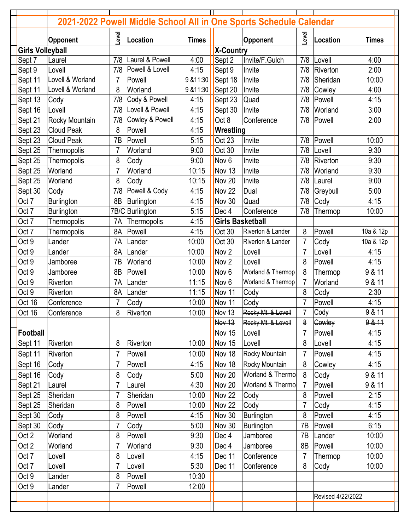|                         | Opponent          | <b>Level</b>   | Location        | <b>Times</b> |                         | <b>Opponent</b>    | Level          | Location          | <b>Times</b> |
|-------------------------|-------------------|----------------|-----------------|--------------|-------------------------|--------------------|----------------|-------------------|--------------|
| <b>Girls Volleyball</b> |                   |                |                 |              | <b>X-Country</b>        |                    |                |                   |              |
| Sept 7                  | Laurel            | 7/8            | Laurel & Powell | 4:00         | Sept 2                  | Invite/F.Gulch     | 7/8            | Lovell            | 4:00         |
| Sept 9                  | Lovell            | 7/8            | Powell & Lovell | 4:15         | Sept 9                  | Invite             | 7/8            | Riverton          | 2:00         |
| Sept 11                 | Lovell & Worland  |                | Powell          | 9 & 11:30    | Sept 18                 | Invite             | 7/8            | Sheridan          | 10:00        |
| Sept 11                 | Lovell & Worland  | 8              | Worland         | 9 & 11:30    | Sept 20                 | Invite             | 7/8            | Cowley            | 4:00         |
| Sept 13                 | Cody              | 7/8            | Cody & Powell   | 4:15         | Sept 23                 | Quad               | 7/8            | Powell            | 4:15         |
| Sept 16                 | Lovell            | 7/8            | Lovell & Powell | 4:15         | Sept 30                 | Invite             | 7/8            | Worland           | 3:00         |
| Sept 21                 | Rocky Mountain    | 7/8            | Cowley & Powell | 4:15         | Oct 8                   | Conference         | 7/8            | Powell            | 2:00         |
| Sept 23                 | <b>Cloud Peak</b> | 8              | Powell          | 4:15         | Wrestling               |                    |                |                   |              |
| Sept 23                 | <b>Cloud Peak</b> | 7B             | Powell          | 5:15         | Oct 23                  | Invite             | 7/8            | Powell            | 10:00        |
| Sept 25                 | Thermopolis       | $\overline{7}$ | Worland         | 9:00         | Oct 30                  | Invite             | 7/8            | Lovell            | 9:30         |
| Sept 25                 | Thermopolis       | 8              | Cody            | 9:00         | Nov <sub>6</sub>        | Invite             | 7/8            | Riverton          | 9:30         |
| Sept 25                 | Worland           | $\overline{7}$ | Worland         | 10:15        | Nov 13                  | Invite             | 7/8            | Worland           | 9:30         |
| Sept 25                 | Worland           | 8              | Cody            | 10:15        | Nov 20                  | Invite             | 7/8            | Laurel            | 9:00         |
| Sept 30                 | Cody              | 7/8            | Powell & Cody   | 4:15         | Nov 22                  | Dual               | 7/8            | Greybull          | 5:00         |
| Oct 7                   | <b>Burlington</b> | 8B             | Burlington      | 4:15         | Nov 30                  | Quad               | 7/8            | Cody              | 4:15         |
| Oct 7                   | Burlington        | 7B/C           | Burlington      | 5:15         | Dec 4                   | Conference         | 7/8            | Thermop           | 10:00        |
| Oct 7                   | Thermopolis       | 7A             | Thermopolis     | 4:15         | <b>Girls Basketball</b> |                    |                |                   |              |
| Oct 7                   | Thermopolis       | 8A             | Powell          | 4:15         | Oct 30                  | Riverton & Lander  | 8              | Powell            | 10a & 12p    |
| Oct 9                   | Lander            | 7A             | Lander          | 10:00        | Oct 30                  | Riverton & Lander  | 7              | Cody              | 10a & 12p    |
| Oct 9                   | Lander            | 8A             | Lander          | 10:00        | Nov <sub>2</sub>        | Lovell             | $\overline{7}$ | Lovell            | 4:15         |
| Oct 9                   | Jamboree          | 7B             | Worland         | 10:00        | Nov <sub>2</sub>        | Lovell             | 8              | Powell            | 4:15         |
| Oct 9                   | Jamboree          | 8B             | Powell          | 10:00        | Nov 6                   | Worland & Thermop  | 8              | Thermop           | 9 & 11       |
| Oct 9                   | Riverton          | 7A             | Lander          | 11:15        | Nov <sub>6</sub>        | Worland & Thermop  | $\overline{7}$ | Worland           | 9 & 11       |
| Oct 9                   | Riverton          | 8A             | Lander          | 11:15        | Nov 11                  | Cody               | 8              | Cody              | 2:30         |
| Oct 16                  | Conference        |                | Cody            | 10:00        | Nov 11                  | Cody               | 7              | Powell            | 4:15         |
| Oct 16                  | Conference        | 8              | Riverton        | 10:00        | Nov 13                  | Rocky Mt. & Lovell | 7              | Cody              | 9.8.11       |
|                         |                   |                |                 |              | Nov 13                  | Rocky Mt. & Lovell | 8              | Cowley            | 9 & 41       |
| <b>Football</b>         |                   |                |                 |              | Nov 15                  | Lovell             | $\overline{7}$ | Powell            | 4:15         |
| Sept 11                 | Riverton          | 8              | Riverton        | 10:00        | Nov 15                  | Lovell             | 8              | Lovell            | 4:15         |
| Sept 11                 | Riverton          |                | Powell          | 10:00        | Nov 18                  | Rocky Mountain     | 7              | Powell            | 4:15         |
| Sept 16                 | Cody              | 7              | Powell          | 4:15         | Nov 18                  | Rocky Mountain     | 8              | Cowley            | 4:15         |
| Sept 16                 | Cody              | 8              | Cody            | 5:00         | Nov 20                  | Worland & Thermo   | 8              | Cody              | 9 & 11       |
| Sept 21                 | Laurel            |                | Laurel          | 4:30         | Nov 20                  | Worland & Thermo   | $\overline{7}$ | Powell            | 9 & 11       |
| Sept 25                 | Sheridan          |                | Sheridan        | 10:00        | Nov 22                  | Cody               | 8              | Powell            | 2:15         |
| Sept 25                 | Sheridan          | 8              | Powell          | 10:00        | Nov 22                  | Cody               | $\overline{7}$ | Cody              | 4:15         |
| Sept 30                 | Cody              | 8              | Powell          | 4:15         | Nov 30                  | <b>Burlington</b>  | 8              | Powell            | 4:15         |
| Sept 30                 | Cody              |                | Cody            | 5:00         | Nov 30                  | Burlington         | 7B             | Powell            | 6:15         |
| Oct 2                   | Worland           | 8              | Powell          | 9:30         | Dec 4                   | Jamboree           | 7B             | Lander            | 10:00        |
| Oct 2                   | Worland           |                | Worland         | 9:30         | Dec 4                   | Jamboree           | 8B             | Powell            | 10:00        |
| Oct 7                   | Lovell            | 8              | Lovell          | 4:15         | Dec 11                  | Conference         | 7              | Thermop           | 10:00        |
| Oct 7                   |                   |                |                 | 5:30         | Dec 11                  | Conference         | 8              |                   | 10:00        |
|                         | Lovell            |                | Lovell          |              |                         |                    |                | Cody              |              |
| Oct 9                   | Lander            | 8              | Powell          | 10:30        |                         |                    |                |                   |              |
| Oct 9                   | Lander            | $\overline{7}$ | Powell          | 12:00        |                         |                    |                |                   |              |
|                         |                   |                |                 |              |                         |                    |                | Revised 4/22/2022 |              |